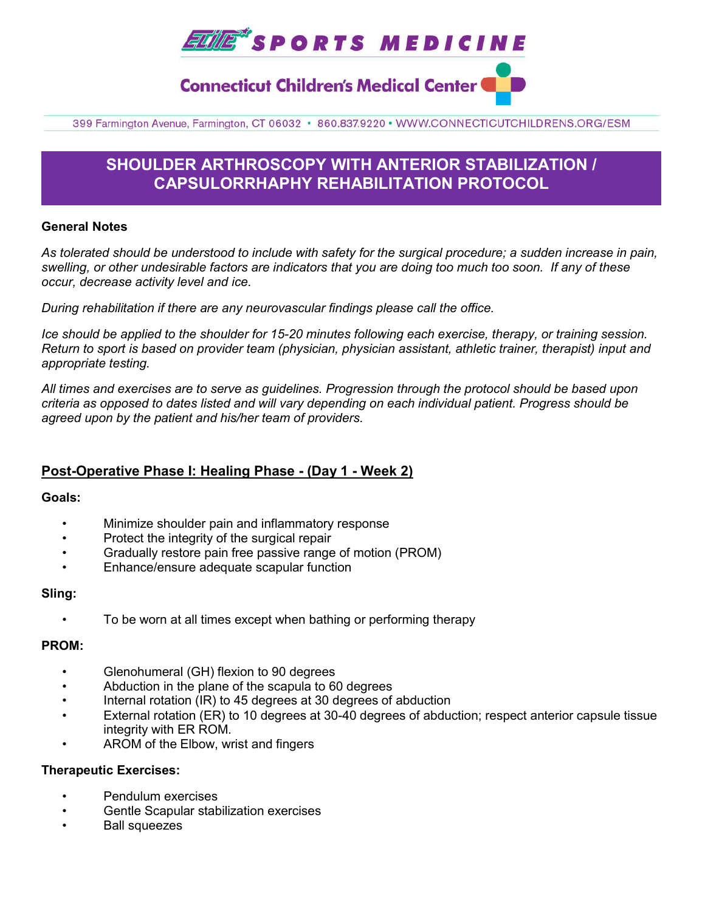

## **Connecticut Children's Medical Center (**

399 Farmington Avenue, Farmington, CT 06032 · 860.837.9220 · WWW.CONNECTICUTCHILDRENS.ORG/ESM

## **SHOULDER ARTHROSCOPY WITH ANTERIOR STABILIZATION / CAPSULORRHAPHY REHABILITATION PROTOCOL**

### **General Notes**

*As tolerated should be understood to include with safety for the surgical procedure; a sudden increase in pain, swelling, or other undesirable factors are indicators that you are doing too much too soon. If any of these occur, decrease activity level and ice.* 

*During rehabilitation if there are any neurovascular findings please call the office.*

*Ice should be applied to the shoulder for 15-20 minutes following each exercise, therapy, or training session. Return to sport is based on provider team (physician, physician assistant, athletic trainer, therapist) input and appropriate testing.*

*All times and exercises are to serve as guidelines. Progression through the protocol should be based upon criteria as opposed to dates listed and will vary depending on each individual patient. Progress should be agreed upon by the patient and his/her team of providers.*

## **Post-Operative Phase I: Healing Phase - (Day 1 - Week 2)**

### **Goals:**

- Minimize shoulder pain and inflammatory response
- Protect the integrity of the surgical repair
- Gradually restore pain free passive range of motion (PROM)
- Enhance/ensure adequate scapular function

### **Sling:**

• To be worn at all times except when bathing or performing therapy

## **PROM:**

- Glenohumeral (GH) flexion to 90 degrees
- Abduction in the plane of the scapula to 60 degrees
- Internal rotation (IR) to 45 degrees at 30 degrees of abduction
- External rotation (ER) to 10 degrees at 30-40 degrees of abduction; respect anterior capsule tissue integrity with ER ROM.
- AROM of the Elbow, wrist and fingers

### **Therapeutic Exercises:**

- Pendulum exercises
- Gentle Scapular stabilization exercises
- Ball squeezes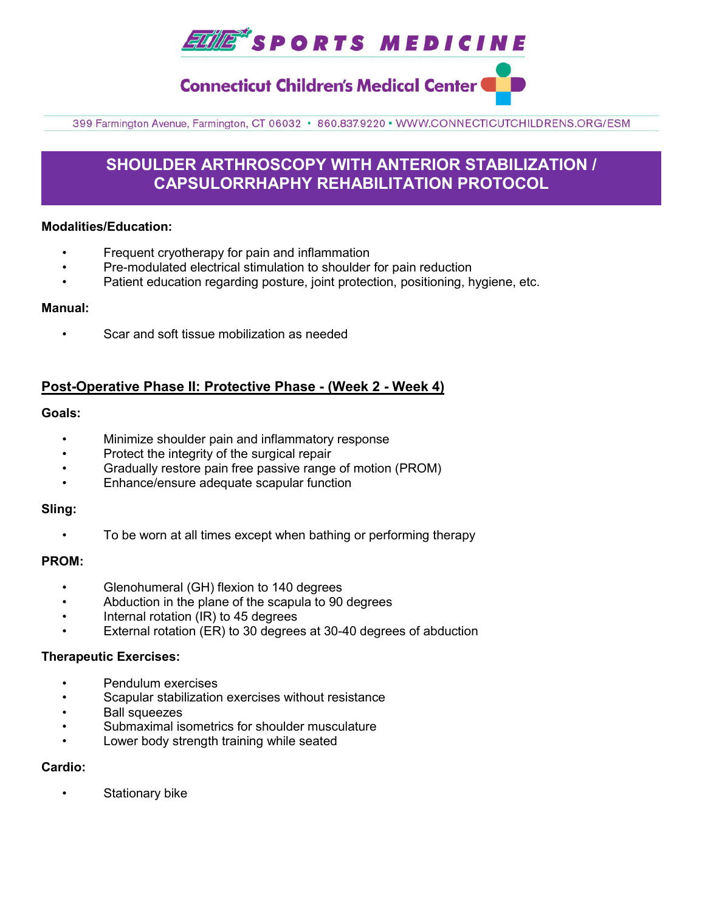**EULE\*** SPORTS MEDICINE

**Connecticut Children's Medical Center (** 

399 Farmington Avenue, Farmington, CT 06032 · 860.837.9220 · WWW.CONNECTICUTCHILDRENS.ORG/ESM

## **SHOULDER ARTHROSCOPY WITH ANTERIOR STABILIZATION / CAPSULORRHAPHY REHABILITATION PROTOCOL**

## **Modalities/Education:**

- Frequent cryotherapy for pain and inflammation
- Pre-modulated electrical stimulation to shoulder for pain reduction
- Patient education regarding posture, joint protection, positioning, hygiene, etc.

### **Manual:**

• Scar and soft tissue mobilization as needed

## **Post-Operative Phase II: Protective Phase - (Week 2 - Week 4)**

## **Goals:**

- Minimize shoulder pain and inflammatory response
- Protect the integrity of the surgical repair
- Gradually restore pain free passive range of motion (PROM)
- Enhance/ensure adequate scapular function

### **Sling:**

• To be worn at all times except when bathing or performing therapy

### **PROM:**

- Glenohumeral (GH) flexion to 140 degrees
- Abduction in the plane of the scapula to 90 degrees
- Internal rotation (IR) to 45 degrees
- External rotation (ER) to 30 degrees at 30-40 degrees of abduction

### **Therapeutic Exercises:**

- Pendulum exercises
- Scapular stabilization exercises without resistance
- Ball squeezes
- Submaximal isometrics for shoulder musculature
- Lower body strength training while seated

## **Cardio:**

Stationary bike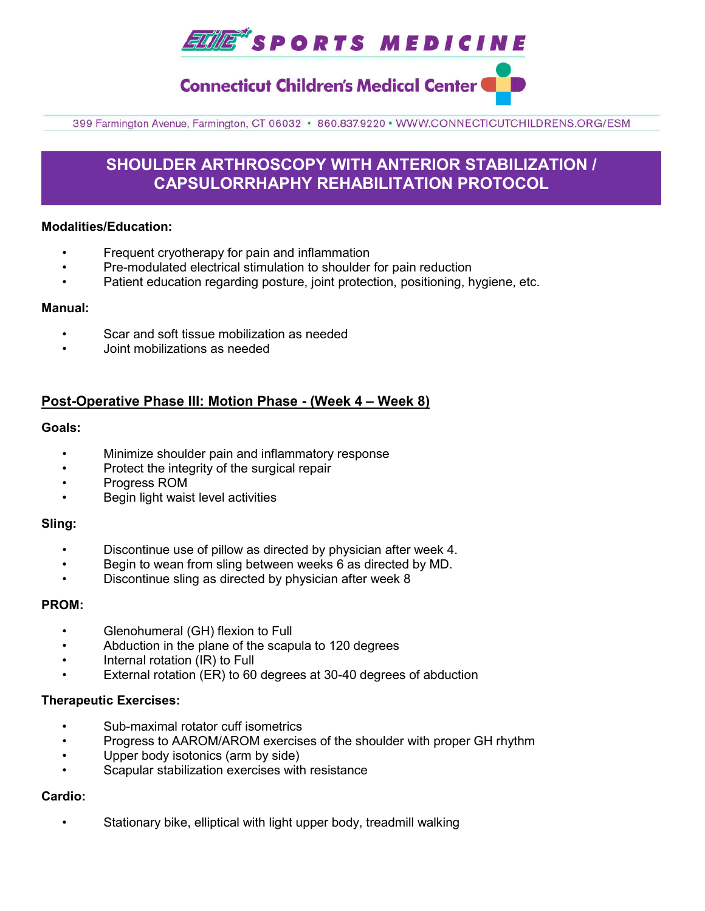**TILE\*SPORTS MEDICINE** 

**Connecticut Children's Medical Center (** 

399 Farmington Avenue, Farmington, CT 06032 · 860.837.9220 · WWW.CONNECTICUTCHILDRENS.ORG/ESM

## **SHOULDER ARTHROSCOPY WITH ANTERIOR STABILIZATION / CAPSULORRHAPHY REHABILITATION PROTOCOL**

## **Modalities/Education:**

- Frequent cryotherapy for pain and inflammation
- Pre-modulated electrical stimulation to shoulder for pain reduction
- Patient education regarding posture, joint protection, positioning, hygiene, etc.

### **Manual:**

- Scar and soft tissue mobilization as needed
- Joint mobilizations as needed

## **Post-Operative Phase III: Motion Phase - (Week 4 – Week 8)**

### **Goals:**

- Minimize shoulder pain and inflammatory response
- Protect the integrity of the surgical repair
- Progress ROM
- Begin light waist level activities

### **Sling:**

- Discontinue use of pillow as directed by physician after week 4.
- Begin to wean from sling between weeks 6 as directed by MD.
- Discontinue sling as directed by physician after week 8

### **PROM:**

- Glenohumeral (GH) flexion to Full
- Abduction in the plane of the scapula to 120 degrees
- Internal rotation (IR) to Full
- External rotation (ER) to 60 degrees at 30-40 degrees of abduction

### **Therapeutic Exercises:**

- Sub-maximal rotator cuff isometrics
- Progress to AAROM/AROM exercises of the shoulder with proper GH rhythm
- Upper body isotonics (arm by side)
- Scapular stabilization exercises with resistance

## **Cardio:**

Stationary bike, elliptical with light upper body, treadmill walking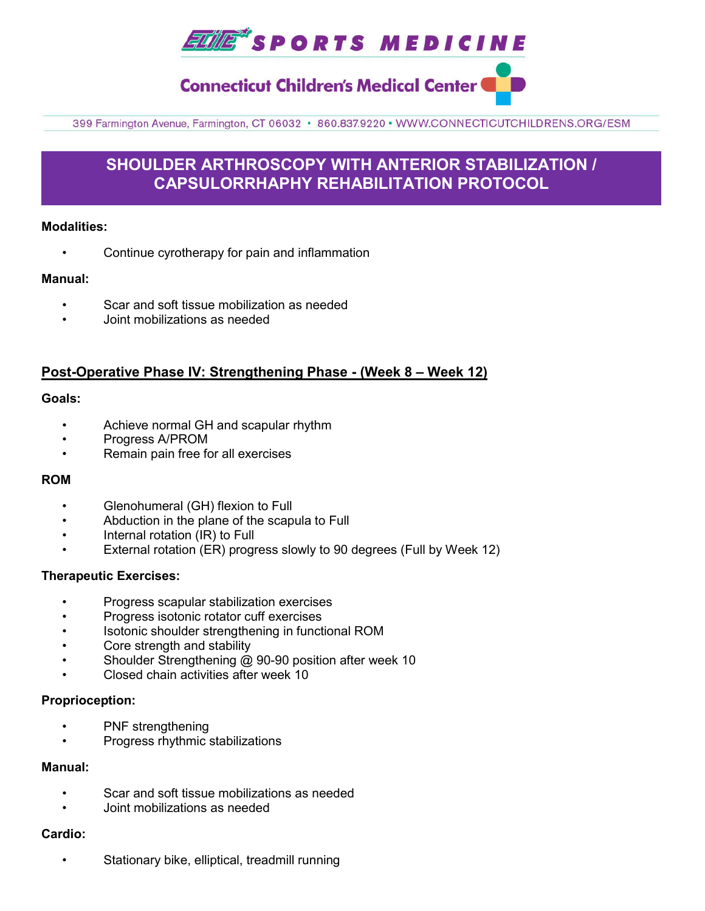

# **Connecticut Children's Medical Center (**

399 Farmington Avenue, Farmington, CT 06032 · 860.837.9220 · WWW.CONNECTICUTCHILDRENS.ORG/ESM

## **SHOULDER ARTHROSCOPY WITH ANTERIOR STABILIZATION / CAPSULORRHAPHY REHABILITATION PROTOCOL**

## **Modalities:**

• Continue cyrotherapy for pain and inflammation

## **Manual:**

- Scar and soft tissue mobilization as needed
- Joint mobilizations as needed

## **Post-Operative Phase IV: Strengthening Phase - (Week 8 – Week 12)**

### **Goals:**

- Achieve normal GH and scapular rhythm
- Progress A/PROM
- Remain pain free for all exercises

### **ROM**

- Glenohumeral (GH) flexion to Full
- Abduction in the plane of the scapula to Full
- Internal rotation (IR) to Full
- External rotation (ER) progress slowly to 90 degrees (Full by Week 12)

### **Therapeutic Exercises:**

- Progress scapular stabilization exercises
- Progress isotonic rotator cuff exercises
- Isotonic shoulder strengthening in functional ROM
- Core strength and stability
- Shoulder Strengthening @ 90-90 position after week 10
- Closed chain activities after week 10

### **Proprioception:**

- PNF strengthening
- Progress rhythmic stabilizations

## **Manual:**

- Scar and soft tissue mobilizations as needed
- Joint mobilizations as needed

## **Cardio:**

• Stationary bike, elliptical, treadmill running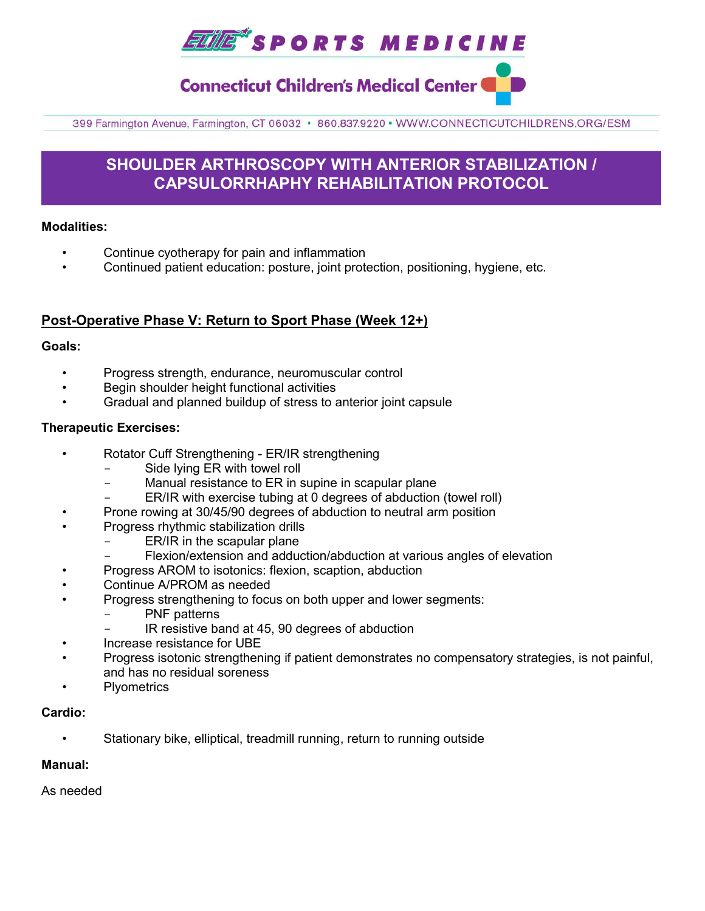**ELILE\*** SPORTS MEDICINE

**Connecticut Children's Medical Center (** 

399 Farmington Avenue, Farmington, CT 06032 · 860.837.9220 · WWW.CONNECTICUTCHILDRENS.ORG/ESM

## **SHOULDER ARTHROSCOPY WITH ANTERIOR STABILIZATION / CAPSULORRHAPHY REHABILITATION PROTOCOL**

## **Modalities:**

- Continue cyotherapy for pain and inflammation
- Continued patient education: posture, joint protection, positioning, hygiene, etc.

## **Post-Operative Phase V: Return to Sport Phase (Week 12+)**

## **Goals:**

- Progress strength, endurance, neuromuscular control
- Begin shoulder height functional activities
- Gradual and planned buildup of stress to anterior joint capsule

## **Therapeutic Exercises:**

- Rotator Cuff Strengthening ER/IR strengthening
	- Side lying ER with towel roll
	- Manual resistance to ER in supine in scapular plane
	- ER/IR with exercise tubing at 0 degrees of abduction (towel roll)
	- Prone rowing at 30/45/90 degrees of abduction to neutral arm position
- Progress rhythmic stabilization drills
	- ER/IR in the scapular plane
	- Flexion/extension and adduction/abduction at various angles of elevation
- Progress AROM to isotonics: flexion, scaption, abduction
- Continue A/PROM as needed
- Progress strengthening to focus on both upper and lower segments:
	- PNF patterns
	- IR resistive band at 45, 90 degrees of abduction
- Increase resistance for UBE
- Progress isotonic strengthening if patient demonstrates no compensatory strategies, is not painful, and has no residual soreness
- **Plyometrics**

## **Cardio:**

Stationary bike, elliptical, treadmill running, return to running outside

## **Manual:**

As needed